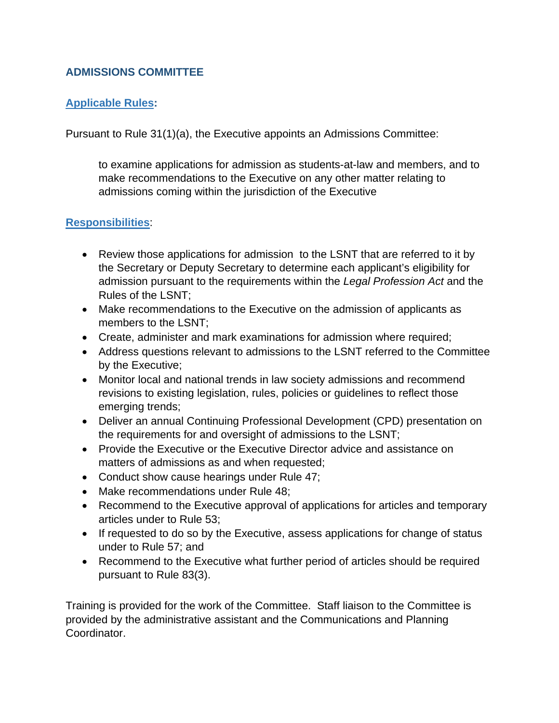## **ADMISSIONS COMMITTEE**

# **Applicable Rules:**

Pursuant to Rule 31(1)(a), the Executive appoints an Admissions Committee:

to examine applications for admission as students-at-law and members, and to make recommendations to the Executive on any other matter relating to admissions coming within the jurisdiction of the Executive

## **Responsibilities**:

- Review those applications for admission to the LSNT that are referred to it by the Secretary or Deputy Secretary to determine each applicant's eligibility for admission pursuant to the requirements within the *Legal Profession Act* and the Rules of the LSNT;
- Make recommendations to the Executive on the admission of applicants as members to the LSNT;
- Create, administer and mark examinations for admission where required;
- Address questions relevant to admissions to the LSNT referred to the Committee by the Executive;
- Monitor local and national trends in law society admissions and recommend revisions to existing legislation, rules, policies or guidelines to reflect those emerging trends;
- Deliver an annual Continuing Professional Development (CPD) presentation on the requirements for and oversight of admissions to the LSNT;
- Provide the Executive or the Executive Director advice and assistance on matters of admissions as and when requested;
- Conduct show cause hearings under Rule 47;
- Make recommendations under Rule 48;
- Recommend to the Executive approval of applications for articles and temporary articles under to Rule 53;
- If requested to do so by the Executive, assess applications for change of status under to Rule 57; and
- Recommend to the Executive what further period of articles should be required pursuant to Rule 83(3).

Training is provided for the work of the Committee. Staff liaison to the Committee is provided by the administrative assistant and the Communications and Planning Coordinator.